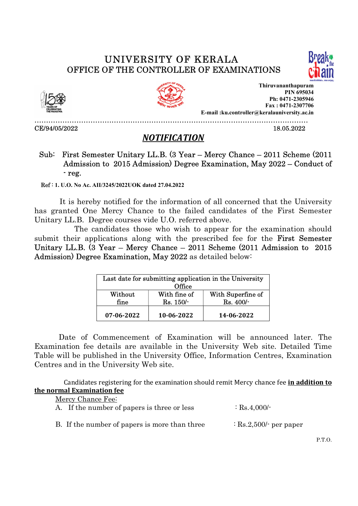## UNIVERSITY OF KERALA







OFFICE OF THE CONTROLLER OF EXAMINATIONS<br>
Thiruvananthapuram<br>
PIN 695034<br>
PIN 695034<br>
PIN 695034<br>
PIN 695034<br>
Fax : 0471-2307706<br>
E-mail :ku.controller@keralauniversity.ac.in<br>
CE/94/05/2022<br>
18.05.2022 Thiruvananthapuram PIN 695034 Ph: 0471-2305946 Fax : 0471-2307706 E-mail :ku.controller@keralauniversity.ac.in

## NOTIFICATION

## Sub: First Semester Unitary LL.B. (3 Year – Mercy Chance – 2011 Scheme (2011 Admission to 2015 Admission) Degree Examination, May 2022 – Conduct of - reg.  $\overline{\phantom{a}}$

Ref : 1. U.O. No Ac. AII/3245/2022UOK dated 27.04.2022

 It is hereby notified for the information of all concerned that the University has granted One Mercy Chance to the failed candidates of the First Semester Unitary LL.B. Degree courses vide U.O. referred above.

 The candidates those who wish to appear for the examination should submit their applications along with the prescribed fee for the **First Semester** Unitary LL.B. (3 Year – Mercy Chance – 2011 Scheme (2011 Admission to 2015 Admission) Degree Examination, May 2022 as detailed below:

| Last date for submitting application in the University<br>Office |              |                   |  |
|------------------------------------------------------------------|--------------|-------------------|--|
| Without                                                          | With fine of | With Superfine of |  |
| fine                                                             | Rs. 150/     | Rs. 400/-         |  |
| 07-06-2022                                                       | 10-06-2022   | 14-06-2022        |  |

 Date of Commencement of Examination will be announced later. The Examination fee details are available in the University Web site. Detailed Time Table will be published in the University Office, Information Centres, Examination Centres and in the University Web site.

Candidates registering for the examination should remit Mercy chance fee in addition to the normal Examination fee

| Mercy Chance Fee:                             |                                   |  |  |  |
|-----------------------------------------------|-----------------------------------|--|--|--|
| A. If the number of papers is three or less   | $\therefore$ Rs.4,000/-           |  |  |  |
|                                               |                                   |  |  |  |
|                                               |                                   |  |  |  |
| B. If the number of papers is more than three | $\therefore$ Rs.2,500/- per paper |  |  |  |

P.T.O.